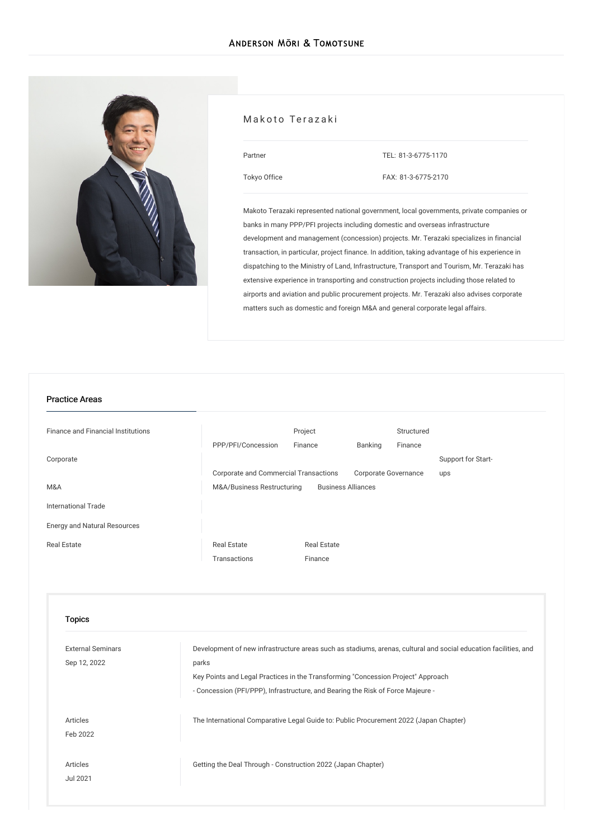

### Makoto Terazaki

| Partner |  |
|---------|--|
|         |  |
|         |  |

TEL: [81-3-6775-1170](tel:81-3-6775-1170)

[Tokyo](/en/locations/tokyo) Office

FAX: 81-3-6775-2170

Makoto Terazaki represented national government, local governments, private companies or banks in many PPP/PFI projects including domestic and overseas infrastructure development and management (concession) projects. Mr. Terazaki specializes in financial transaction, in particular, project finance. In addition, taking advantage of his experience in dispatching to the Ministry of Land, Infrastructure, Transport and Tourism, Mr. Terazaki has extensive experience in transporting and construction projects including those related to airports and aviation and public procurement projects. Mr. Terazaki also advises corporate matters such as domestic and foreign M&A and general corporate legal affairs.

#### Practice Areas

| <b>Finance and Financial Institutions</b> |                                       | Project                   |                      | Structured |                    |
|-------------------------------------------|---------------------------------------|---------------------------|----------------------|------------|--------------------|
|                                           | PPP/PFI/Concession                    | Finance                   | Banking              | Finance    |                    |
| Corporate                                 |                                       |                           |                      |            | Support for Start- |
|                                           | Corporate and Commercial Transactions |                           | Corporate Governance |            | ups                |
| M&A                                       | M&A/Business Restructuring            | <b>Business Alliances</b> |                      |            |                    |
| International Trade                       |                                       |                           |                      |            |                    |
| <b>Energy and Natural Resources</b>       |                                       |                           |                      |            |                    |
| <b>Real Estate</b>                        | <b>Real Estate</b>                    | <b>Real Estate</b>        |                      |            |                    |
|                                           | Transactions                          | Finance                   |                      |            |                    |

| <b>Topics</b>                            |                                                                                                                                                                                                                                                                                                 |
|------------------------------------------|-------------------------------------------------------------------------------------------------------------------------------------------------------------------------------------------------------------------------------------------------------------------------------------------------|
| <b>External Seminars</b><br>Sep 12, 2022 | Development of new infrastructure areas such as stadiums, arenas, cultural and social education facilities, and<br>parks<br>Key Points and Legal Practices in the Transforming "Concession Project" Approach<br>- Concession (PFI/PPP), Infrastructure, and Bearing the Risk of Force Majeure - |
| Articles<br>Feb 2022                     | The International Comparative Legal Guide to: Public Procurement 2022 (Japan Chapter)                                                                                                                                                                                                           |
| Articles<br>Jul 2021                     | Getting the Deal Through - Construction 2022 (Japan Chapter)                                                                                                                                                                                                                                    |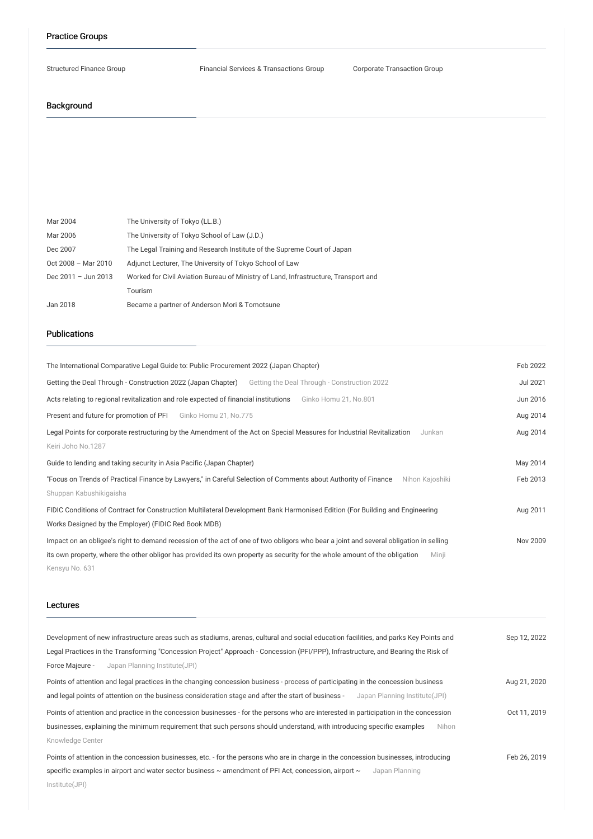#### Practice Groups

Structured Finance Group Financial Services & Transactions Group Corporate Transaction Group

## Background

| Mar 2004                | The University of Tokyo (LL.B.)                                                     |
|-------------------------|-------------------------------------------------------------------------------------|
| Mar 2006                | The University of Tokyo School of Law (J.D.)                                        |
| Dec 2007                | The Legal Training and Research Institute of the Supreme Court of Japan             |
| Oct 2008 - Mar 2010     | Adjunct Lecturer, The University of Tokyo School of Law                             |
| Dec $2011 -$ Jun $2013$ | Worked for Civil Aviation Bureau of Ministry of Land, Infrastructure, Transport and |
|                         | Tourism                                                                             |
| Jan 2018                | Became a partner of Anderson Mori & Tomotsune                                       |

# Publications

| The International Comparative Legal Guide to: Public Procurement 2022 (Japan Chapter)                                                                                                                                                                                                          | Feb 2022        |
|------------------------------------------------------------------------------------------------------------------------------------------------------------------------------------------------------------------------------------------------------------------------------------------------|-----------------|
| Getting the Deal Through - Construction 2022 (Japan Chapter)<br>Getting the Deal Through - Construction 2022                                                                                                                                                                                   | <b>Jul 2021</b> |
| Acts relating to regional revitalization and role expected of financial institutions<br>Ginko Homu 21, No.801                                                                                                                                                                                  | Jun 2016        |
| Present and future for promotion of PFI<br>Ginko Homu 21, No.775                                                                                                                                                                                                                               | Aug 2014        |
| Legal Points for corporate restructuring by the Amendment of the Act on Special Measures for Industrial Revitalization<br>Junkan                                                                                                                                                               | Aug 2014        |
| Keiri Joho No.1287                                                                                                                                                                                                                                                                             |                 |
| Guide to lending and taking security in Asia Pacific (Japan Chapter)                                                                                                                                                                                                                           | May 2014        |
| "Focus on Trends of Practical Finance by Lawyers," in Careful Selection of Comments about Authority of Finance<br>Nihon Kajoshiki<br>Shuppan Kabushikigaisha                                                                                                                                   | Feb 2013        |
| FIDIC Conditions of Contract for Construction Multilateral Development Bank Harmonised Edition (For Building and Engineering<br>Works Designed by the Employer) (FIDIC Red Book MDB)                                                                                                           | Aug 2011        |
| Impact on an obligee's right to demand recession of the act of one of two obligors who bear a joint and several obligation in selling<br>its own property, where the other obligor has provided its own property as security for the whole amount of the obligation<br>Minji<br>Kensyu No. 631 | Nov 2009        |
| Lectures                                                                                                                                                                                                                                                                                       |                 |
| Development of new infrastructure areas such as stadiums, arenas, cultural and social education facilities, and parks Key Points and                                                                                                                                                           | Sep 12, 2022    |
| Legal Practices in the Transforming "Concession Project" Approach - Concession (PFI/PPP), Infrastructure, and Bearing the Risk of                                                                                                                                                              |                 |
| Force Majeure -<br>Japan Planning Institute(JPI)                                                                                                                                                                                                                                               |                 |
| Points of attention and legal practices in the changing concession business - process of participating in the concession business                                                                                                                                                              | Aug 21, 2020    |
| and legal points of attention on the business consideration stage and after the start of business -<br>Japan Planning Institute(JPI)                                                                                                                                                           |                 |
| Points of attention and practice in the concession businesses - for the persons who are interested in participation in the concession                                                                                                                                                          | Oct 11, 2019    |

Knowledge Center Points of attention in the concession businesses, etc. - for the persons who are in charge in the concession businesses, introducing specific examples in airport and water sector business ~ [amendment](/en/seminars/detail/seminar_0020935_en_001) of PFI Act, concession, airport ~ Japan Planning Institute(JPI) Feb 26, 2019

businesses, explaining the minimum requirement that such persons should understand, with introducing specific examples Nihon